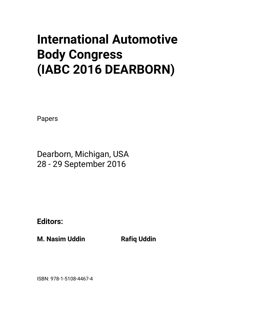# **International Automotive Body Congress (IABC 2016 DEARBORN)**

Papers

Dearborn, Michigan, USA 28 - 29 September 2016

**Editors:** 

**M. Nasim Uddin Communist Rafiq Uddin** 

ISBN: 978-1-5108-4467-4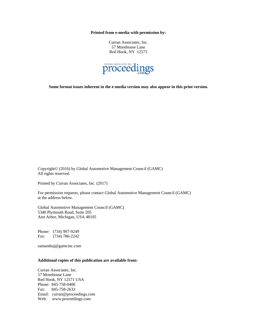**Printed from e-media with permission by:** 

Curran Associates, Inc. 57 Morehouse Lane Red Hook, NY 12571



**Some format issues inherent in the e-media version may also appear in this print version.** 

Copyright© (2016) by Global Automotive Management Council (GAMC) All rights reserved.

Printed by Curran Associates, Inc. (2017)

For permission requests, please contact Global Automotive Management Council (GAMC) at the address below.

Global Automotive Management Council (GAMC) 5340 Plymouth Road, Suite 205 Ann Arbor, Michigan, USA 48105

Phone: (734) 997-9249 Fax: (734) 786-2242

samanthaj@gamcinc.com

## **Additional copies of this publication are available from:**

Curran Associates, Inc. 57 Morehouse Lane Red Hook, NY 12571 USA Phone: 845-758-0400 Fax: 845-758-2633 Email: curran@proceedings.com Web: www.proceedings.com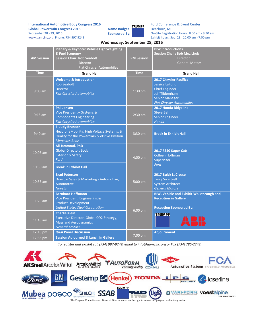**International Automotive Body Congress 2016 Global Powertrain Congress 2016** September 28 - 29, 2016 www.gamcinc.org, Phone: 734 997 9249

**TRUMPF Name Badges Sponsored By:** 

Ford Conference & Event Center Dearborn, MI On-Site Registration Hours: 8:00 am - 9:30 am Exhibit hours: Sep. 28, 10:00 am - 7:00 pm

| <b>AM Session</b> | Plenary & Keynote: Vehicle Lightweighting<br>& Fuel Economy<br><b>Session Chair: Rob Seabolt</b><br><b>Director</b><br>Fiat Chrysler Automobiles | <b>PM Session</b> | <b>BIW Introductions</b><br><b>Session Chair: Bob Muzichuk</b><br><b>Director</b><br><b>General Motors</b>                                              |
|-------------------|--------------------------------------------------------------------------------------------------------------------------------------------------|-------------------|---------------------------------------------------------------------------------------------------------------------------------------------------------|
| <b>Time</b>       | <b>Grand Hall</b>                                                                                                                                | <b>Time</b>       | <b>Grand Hall</b>                                                                                                                                       |
| $9:00$ am         | <b>Welcome &amp; Introduction</b><br><b>Rob Seabolt</b><br><b>Director</b><br><b>Fiat Chrysler Automobiles</b>                                   | 1:30 pm           | 2017 Chrysler Pacifica<br><b>Jessica LaFond</b><br><b>Chief Engineer</b><br>Jeff Tibbenham<br><b>Senior Manager</b><br><b>Fiat Chrysler Automobiles</b> |
| $9:15$ am         | <b>Phil Jansen</b><br>Vice President - Systems &<br><b>Components Engineering</b><br><b>Fiat Chrysler Automobiles</b>                            | $2:30$ pm         | 2017 Honda Ridgeline<br><b>Steve Behm</b><br><b>Senior Engineer</b><br>Honda                                                                            |
| $9:40$ am         | <b>E. Judy Brunson</b><br>Head of eMobility, High Voltage Systems, &<br>Quality for the Powertrain & eDrive Division<br><b>Mercedes Benz</b>     | $3:30$ pm         | <b>Break in Exhibit Hall</b>                                                                                                                            |
| $10:05$ am        | Ali Jammoul, PhD<br>Global Director, Body<br><b>Exterior &amp; Safety</b><br>Ford                                                                | $4:00$ pm         | 2017 F250 Super Cab<br>Colleen Hoffman<br>Supervisor                                                                                                    |
| 10:30 am          | <b>Break in Exhibit Hall</b>                                                                                                                     |                   | Ford                                                                                                                                                    |
| 10:55 am          | <b>Brad Peterson</b><br>Director Sales & Marketing - Automotive,<br><b>Automotive</b><br><b>Novelis</b>                                          | 5:00 pm           | <b>2017 Buick LaCrosse</b><br><b>Terry Swartzell</b><br><b>System Architect</b><br><b>General Motors</b>                                                |
| 11:20 am          | <b>Bernhard Hoffmann</b><br>Vice President, Engineering &<br><b>Product Development</b><br><b>United States Steel Corporation</b>                | 6:00 pm           | BIW, Vehicle and Exhibit Walkthrough and<br><b>Reception in Gallery</b><br><b>Reception Sponsored By:</b>                                               |
| 11:45 am          | <b>Charlie Klein</b><br>Executive Director, Global CO2 Strategy,<br><b>Mass and Aerodynamics</b><br><b>General Motors</b>                        |                   | <b>TRUMPF</b>                                                                                                                                           |
| 12:10 pm          | <b>Q&amp;A Panel Discussion</b>                                                                                                                  | 7:00 pm           | <b>Adjournment</b>                                                                                                                                      |
| $12:35$ pm        | <b>Session Adjourned &amp; Lunch in Gallery</b>                                                                                                  |                   |                                                                                                                                                         |

 **Wednesday, September 28, 2016**

1`*To register and exhibit call (734) 997-9249, email to info@gamcinc.org or Fax (734) 786-2242.*

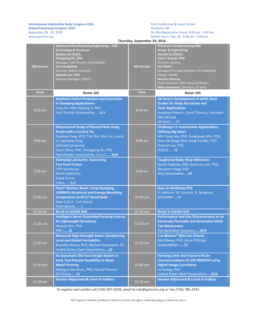#### **International Automotive Body Congress 2016 Global Powertrain Congress 2016**

September 28 - 29, 2016

www.gamcinc.org

Ford Conference & Event Center Dearborn, MI On-Site Registration Hours: 8:00 am - 9:30 am Exhibit hours: Sep. 29, 8:30 am - 4:00 pm

|                   | Thursday, September 29, 2016                                                                                                                                                                                                                                                       |                   |                                                                                                                                                                                                                                                                                                                                    |
|-------------------|------------------------------------------------------------------------------------------------------------------------------------------------------------------------------------------------------------------------------------------------------------------------------------|-------------------|------------------------------------------------------------------------------------------------------------------------------------------------------------------------------------------------------------------------------------------------------------------------------------------------------------------------------------|
| <b>AM Session</b> | Advanced Manufacturing Engineering - FAB<br><b>Technology &amp; Processes</b><br><b>Session Co-Chairs:</b><br>Changqing Du, PhD<br>Manager, Fiat Chrysler Automobiles<br><b>Jim Evangelista</b><br>Director, Shiloh Industries<br><b>Hokook Lee, PhD</b><br>General Manager, POSCO | <b>AM Session</b> | <b>Materials Complementing BIW</b><br>Design & Engineering<br><b>Session Co-Chairs:</b><br><b>Rainer Kossak, PhD</b><br>Director, Novelis<br><b>Pat Shafer</b><br>Manager/Principal Engineer of Underbody<br>Design, Honda<br><b>Warren Parsons,</b><br>Chief Architect, AVD, General Motors<br>Mike Davenport, Director, US Steel |
| <b>Time</b>       | <b>Room 103</b>                                                                                                                                                                                                                                                                    | <b>Time</b>       | <b>Room 105</b>                                                                                                                                                                                                                                                                                                                    |
| 8:30 am           | <b>Aesthetic Defect Prediction and Correction</b><br>in Stamping Applications<br>Yang Hu, PhD, Kaiping Li, PhD<br>Fiat Chrysler AutomobilesN/A                                                                                                                                     | 8:30 am           | AK Steel's Development of AHSS Steel<br><b>Grades for Body Structures and</b><br><b>Their Applications</b><br>Jonathan Powers, Grant Thomas, Amrinder<br>Gill, Ed Case<br><b>AK Steel 52</b>                                                                                                                                       |
| $9:00$ am         | <b>Dimensional Study of Pierced Hole Using</b><br><b>Punch with a Conical Tip</b><br>Guobiao Yang, PhD, Tian Bai, Wan Xu, Junrui<br>Li, Lianxiang Yang<br><b>Oakland University</b><br>Dajun Zhou, PhD, Changqing Du, PhD<br>Fiat Chrysler Automobiles US LLC N/A                  | $9:00$ am         | <b>Challenges in Automotive Applications</b><br><b>Utilizing Mg sheet</b><br>Min Hong Seo, PhD, Kanghwan Ahn, PhD,<br>Yeon Sik Kang, PhD, Kang-Yul Seo, PhD<br>Hokook Lee, PhD<br>POSCO 58                                                                                                                                         |
| $9:30$ am         | <b>Stamping Lubricants: Separating</b><br><b>Fact from Fiction</b><br><b>Cliff Hoschouer</b><br><b>Shiloh Industries</b><br><b>Frank Kenny</b><br>Irmco N/A                                                                                                                        | $9:30$ am         | <b>Toughened Body Shop Adhesives</b><br>Daniel Sophiea, PhD, Andreas Lutz, PhD,<br>Benjamin Haag, PhD<br>Dow Automotive62                                                                                                                                                                                                          |
| 10:00 am          | Flash <sup>®</sup> Bainite: Room Temp Stamping<br><b>1600MPa Structural and Energy Absorbing</b><br><b>Components to OT/1T Bend Radii</b><br>Gary Cola Jr, Tom Stautz<br>Flash Bainite 1                                                                                           | $10:00$ am        | <b>New Zn Multistep PHS</b><br>K. Isaksson, M. Jonsson, D. Berglund<br>GESTAMP66                                                                                                                                                                                                                                                   |
| 10:30 am          | <b>Break in Exhibit Hall</b>                                                                                                                                                                                                                                                       | 10:30 am          | <b>Break in Exhibit Hall</b>                                                                                                                                                                                                                                                                                                       |
| 11:00 am          | <b>Intelligent Servo-Controlled Forming Process</b><br>for Lightweight Structures<br>Hyunok Kim, PhD<br><b>EWI</b> 21                                                                                                                                                              | $11:00$ am        | <b>Performance and Use Characteristics of an</b><br><b>Extremely Formable 3rd Generation AHSS</b><br><b>Tad Machrowicz</b><br>The NanoSteel CompanyN/A                                                                                                                                                                             |
| 11:30 am          | <b>Advanced High-Strength Steels: Deciphering</b><br><b>Local and Global Formability</b><br>Brandon Hance, PhD, Michael Davenport, PE<br><b>United States Steel Corporation31</b>                                                                                                  | 11:30 am          | <b>S-in Motion<sup>®</sup> Mid-size Chassis</b><br>Elie Gibeau, PhD, Kevin Eldridge<br>ArcelorMittal 75                                                                                                                                                                                                                            |
| 12:00 pm          | An Automatic Die Face Design System in<br><b>Early Tool Process Feasibility in Sheet</b><br><b>Metal Forming</b><br>Rodrigue Narainen, PhD, Harald Porzner<br>ESI Group 41                                                                                                         | 12:00 pm          | <b>Forming Limit and Fracture Strain</b><br><b>Characterizations of USS 980GEN3 using</b><br><b>Digital Image Correlation</b><br>Lu Huang, PhD<br>United States Steel Cooperation N/A                                                                                                                                              |
| 12:30 pm          | <b>Session Adjourned &amp; Lunch in Gallery</b>                                                                                                                                                                                                                                    | 12:30 pm          | <b>Session Adjourned &amp; Lunch in Gallery</b>                                                                                                                                                                                                                                                                                    |

*To register and exhibit call (734) 997-9249, email to info@gamcinc.org or Fax (734) 786-2242.*

The Program Committee and Board of Directors reserves the right to amend this program without any notice.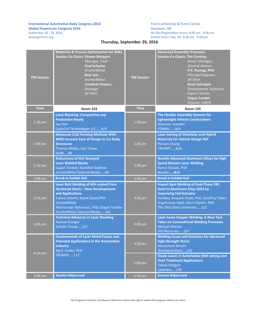#### **International Automotive Body Congress 2016 Global Powertrain Congress 2016**

September 28 - 29, 2016

www.gamcinc.org

Ford Conference & Event Center Dearborn, MI On-Site Registration Hours: 8:00 am - 9:30 am Exhibit hours: Sep. 29, 8:30 am - 4:00 pm

# **Thursday, September 29, 2016**

| <b>PM Session</b> | <b>Materials &amp; Process Optimization for BIWs</b><br><b>Session Co-Chairs: Shawn Morgans</b><br>Manager, Ford<br><b>Paul Schurter</b><br>ArcelorMittal<br>Ram Iyer<br>ArcelorMittal<br><b>Jonathan Powers</b><br>Manager<br><b>AK Steel</b>              | <b>PM Session</b> | <b>Advanced Assembly Processes</b><br><b>Session Co-Chairs: Tim Canning</b><br>Senior Manager,<br><b>General Motors</b><br>P.K. Rastogi, PhD<br>Principal Engineer,<br><b>AK Steel</b><br><b>Kevin Schnipke</b><br><b>Development Technical</b><br>Expert, Honda<br><b>Gagan Tandon</b><br>Director, AMTB |
|-------------------|-------------------------------------------------------------------------------------------------------------------------------------------------------------------------------------------------------------------------------------------------------------|-------------------|-----------------------------------------------------------------------------------------------------------------------------------------------------------------------------------------------------------------------------------------------------------------------------------------------------------|
| <b>Time</b>       | <b>Room 103</b>                                                                                                                                                                                                                                             | <b>Time</b>       | <b>Room 105</b>                                                                                                                                                                                                                                                                                           |
| 1:30 pm           | <b>Laser Blanking: Competitive and</b><br><b>Production Ready</b><br><b>Jay Finn</b><br>LaserCoil Technologies LLCN/A                                                                                                                                       | 1:30 pm           | The Flexible Assembly Systems for<br><b>Lightweight Vehicle Constructions</b><br>Giacomo Gandini<br>COMAUN/A                                                                                                                                                                                              |
| $2:00$ pm         | <b>Advanced Cold Forming Methods With</b><br><b>AHSS Increase Ease of Design in Car Body</b><br><b>Structures</b><br>Thomas Müller, Lars Troive<br><b>SSAB84</b>                                                                                            | 2:00 pm           | <b>Laser Joining of Dissimilar and Hybrid</b><br><b>Materials for Vehicle Design ASP</b><br><b>Pierson Cheng</b><br>TRUMPFN/A                                                                                                                                                                             |
| $2:30$ pm         | <b>Robustness of Hot Stamped</b><br><b>Laser Welded Blanks</b><br>Gagan Tandon, Nachiket Gokhale<br>ArcelorMittal Tailored Blanks94                                                                                                                         | $2:30$ pm         | <b>Novelis Advanced Aluminum Alloys for High</b><br><b>Speed Remote Laser Welding</b><br>Rainer Kossak, PhD<br>NovelisN/A                                                                                                                                                                                 |
| 3:00 pm           | <b>Break in Exhibit Hall</b>                                                                                                                                                                                                                                | 3:00 pm           | <b>Break in Exhibit Hall</b>                                                                                                                                                                                                                                                                              |
| 3:30 pm           | <b>Laser Butt Welding of AISi coated Press</b><br><b>Hardened Steels - New Developments</b><br>and Applications<br>Francis Schmit, Sadok Gaied, PhD<br><b>ArcelorMittal</b><br>Marius-Ioan Rotarescu, PhD, Gagan Tandon<br>ArcelorMittal Tailored Blanks101 | 3:30 pm           | <b>Impact Spot Welding of Dual Phase 590</b><br><b>Steel to Aluminum Alloy 5052 by</b><br><b>Vaporizing Foil Actuator</b><br>Yu Mao, Anupam Vivek, PhD, Geoffrey Taber,<br>Angshuman Kapil, Glenn Daehn, PhD<br>The Ohio State University122                                                              |
| $4:00$ pm         | <b>Technical Advances in Laser Blanking</b><br><b>Manuel Hunger</b><br>Schuler Group112                                                                                                                                                                     | 4:00 pm           | Laser Seam Stepper Welding: A New Tool<br><b>Takes on Conventional Welding Processes</b><br><b>Michael Wiener</b><br>IPG Photonics137                                                                                                                                                                     |
| 4:30 pm           | <b>Fundamentals of Laser Metal Fusion and</b><br><b>Potential Applications in the Automotive</b><br><b>Industry</b><br>April Cooke, PhD                                                                                                                     | 4:30 pm           | <b>Welding Issues and Solutions for Advanced</b><br><b>High-Strength Steels</b><br>Menachem Kimchi<br>WorldAutoSteel142                                                                                                                                                                                   |
|                   | <b>TRUMPF117</b>                                                                                                                                                                                                                                            | 5:00 pm           | Diode Lasers in Automotive BIW Joining and<br><b>Heat Treatment Applications</b><br><b>Tobias Stittgen</b><br>Laserline149                                                                                                                                                                                |
| 5:00 pm           | <b>Session Adjourned</b>                                                                                                                                                                                                                                    | 5:30 pm           | <b>Session Adjourned</b>                                                                                                                                                                                                                                                                                  |